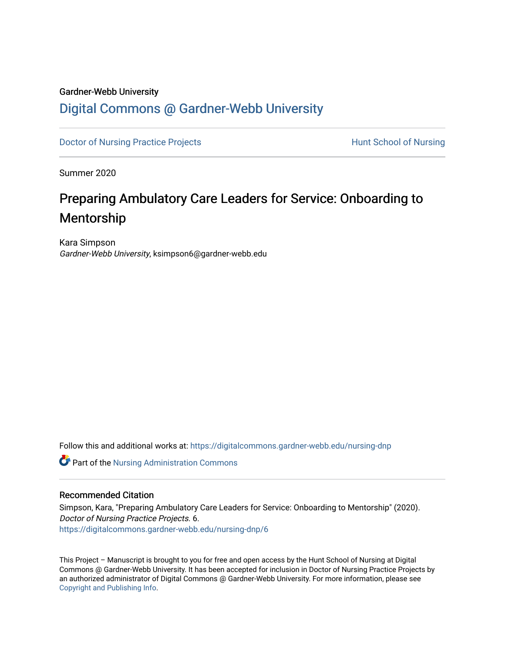#### Gardner-Webb University

### [Digital Commons @ Gardner-Webb University](https://digitalcommons.gardner-webb.edu/)

[Doctor of Nursing Practice Projects](https://digitalcommons.gardner-webb.edu/nursing-dnp) **Exercise Exercise Serverse Hunt School of Nursing** 

Summer 2020

# Preparing Ambulatory Care Leaders for Service: Onboarding to Mentorship

Kara Simpson Gardner-Webb University, ksimpson6@gardner-webb.edu

Follow this and additional works at: [https://digitalcommons.gardner-webb.edu/nursing-dnp](https://digitalcommons.gardner-webb.edu/nursing-dnp?utm_source=digitalcommons.gardner-webb.edu%2Fnursing-dnp%2F6&utm_medium=PDF&utm_campaign=PDFCoverPages) 

Part of the [Nursing Administration Commons](http://network.bepress.com/hgg/discipline/719?utm_source=digitalcommons.gardner-webb.edu%2Fnursing-dnp%2F6&utm_medium=PDF&utm_campaign=PDFCoverPages)

#### Recommended Citation

Simpson, Kara, "Preparing Ambulatory Care Leaders for Service: Onboarding to Mentorship" (2020). Doctor of Nursing Practice Projects. 6. [https://digitalcommons.gardner-webb.edu/nursing-dnp/6](https://digitalcommons.gardner-webb.edu/nursing-dnp/6?utm_source=digitalcommons.gardner-webb.edu%2Fnursing-dnp%2F6&utm_medium=PDF&utm_campaign=PDFCoverPages) 

This Project – Manuscript is brought to you for free and open access by the Hunt School of Nursing at Digital Commons @ Gardner-Webb University. It has been accepted for inclusion in Doctor of Nursing Practice Projects by an authorized administrator of Digital Commons @ Gardner-Webb University. For more information, please see [Copyright and Publishing Info.](https://digitalcommons.gardner-webb.edu/copyright_publishing.html)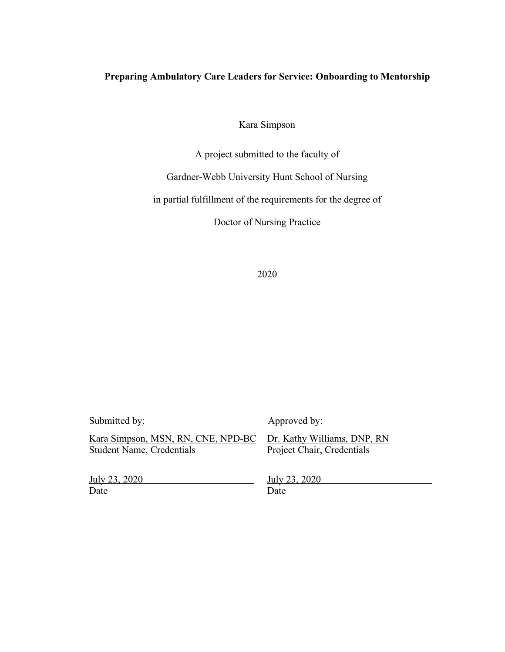### **Preparing Ambulatory Care Leaders for Service: Onboarding to Mentorship**

Kara Simpson

A project submitted to the faculty of

Gardner-Webb University Hunt School of Nursing

in partial fulfillment of the requirements for the degree of

Doctor of Nursing Practice

| Submitted by:                      | Approved by:                |
|------------------------------------|-----------------------------|
| Kara Simpson, MSN, RN, CNE, NPD-BC | Dr. Kathy Williams, DNP, RN |
| <b>Student Name, Credentials</b>   | Project Chair, Credentials  |
| July 23, 2020                      | July 23, 2020               |
| Date                               | Date                        |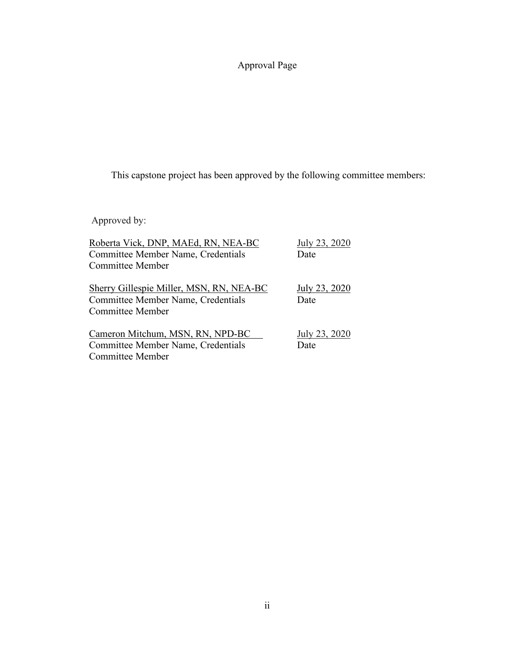## Approval Page

This capstone project has been approved by the following committee members:

Approved by:

| Roberta Vick, DNP, MAEd, RN, NEA-BC                                                   | July 23, 2020         |
|---------------------------------------------------------------------------------------|-----------------------|
| Committee Member Name, Credentials                                                    | Date                  |
| Committee Member                                                                      |                       |
| <b>Sherry Gillespie Miller, MSN, RN, NEA-BC</b><br>Committee Member Name, Credentials | July 23, 2020<br>Date |
| <b>Committee Member</b>                                                               |                       |
| Cameron Mitchum, MSN, RN, NPD-BC                                                      | July 23, 2020         |
| Committee Member Name, Credentials                                                    | Date                  |
| Committee Member                                                                      |                       |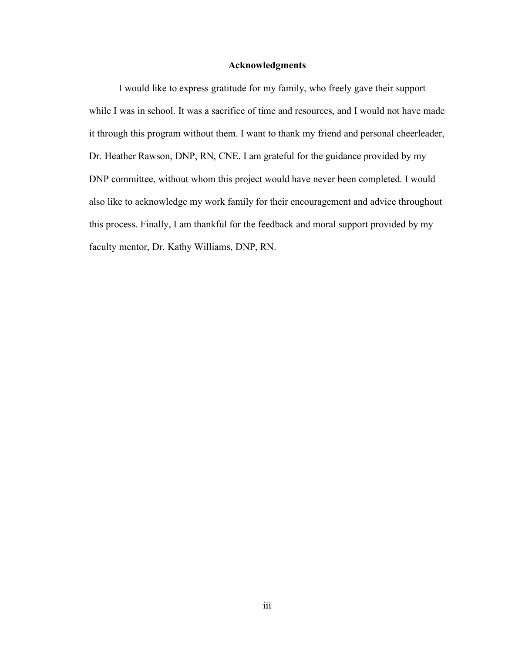#### **Acknowledgments**

I would like to express gratitude for my family, who freely gave their support while I was in school. It was a sacrifice of time and resources, and I would not have made it through this program without them. I want to thank my friend and personal cheerleader, Dr. Heather Rawson, DNP, RN, CNE. I am grateful for the guidance provided by my DNP committee, without whom this project would have never been completed. I would also like to acknowledge my work family for their encouragement and advice throughout this process. Finally, I am thankful for the feedback and moral support provided by my faculty mentor, Dr. Kathy Williams, DNP, RN.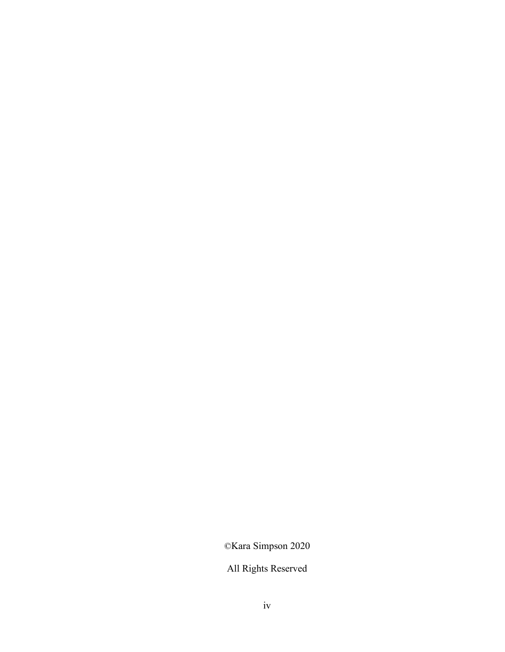©Kara Simpson 2020

All Rights Reserved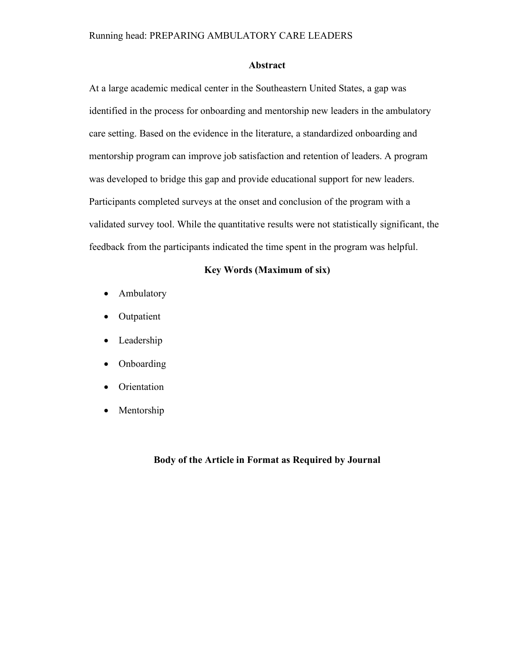#### **Abstract**

At a large academic medical center in the Southeastern United States, a gap was identified in the process for onboarding and mentorship new leaders in the ambulatory care setting. Based on the evidence in the literature, a standardized onboarding and mentorship program can improve job satisfaction and retention of leaders. A program was developed to bridge this gap and provide educational support for new leaders. Participants completed surveys at the onset and conclusion of the program with a validated survey tool. While the quantitative results were not statistically significant, the feedback from the participants indicated the time spent in the program was helpful.

#### **Key Words (Maximum of six)**

- Ambulatory
- Outpatient
- Leadership
- Onboarding
- Orientation
- Mentorship

#### **Body of the Article in Format as Required by Journal**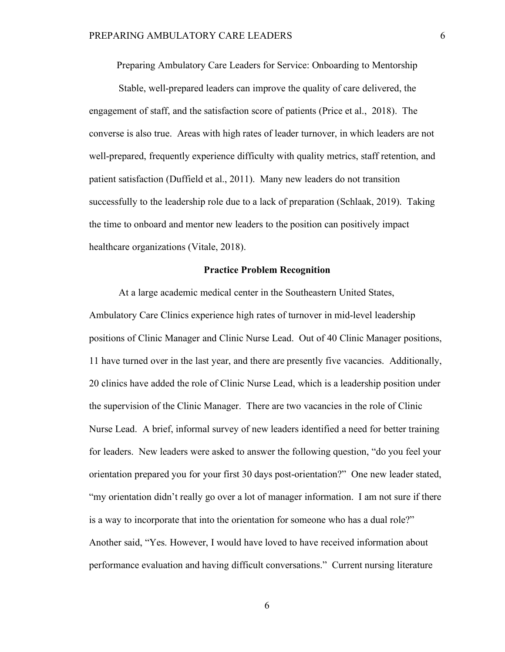Preparing Ambulatory Care Leaders for Service: Onboarding to Mentorship

Stable, well-prepared leaders can improve the quality of care delivered, the engagement of staff, and the satisfaction score of patients (Price et al., 2018). The converse is also true. Areas with high rates of leader turnover, in which leaders are not well-prepared, frequently experience difficulty with quality metrics, staff retention, and patient satisfaction (Duffield et al., 2011). Many new leaders do not transition successfully to the leadership role due to a lack of preparation (Schlaak, 2019). Taking the time to onboard and mentor new leaders to the position can positively impact healthcare organizations (Vitale, 2018).

#### **Practice Problem Recognition**

At a large academic medical center in the Southeastern United States, Ambulatory Care Clinics experience high rates of turnover in mid-level leadership positions of Clinic Manager and Clinic Nurse Lead. Out of 40 Clinic Manager positions, 11 have turned over in the last year, and there are presently five vacancies. Additionally, 20 clinics have added the role of Clinic Nurse Lead, which is a leadership position under the supervision of the Clinic Manager. There are two vacancies in the role of Clinic Nurse Lead. A brief, informal survey of new leaders identified a need for better training for leaders. New leaders were asked to answer the following question, "do you feel your orientation prepared you for your first 30 days post-orientation?" One new leader stated, "my orientation didn't really go over a lot of manager information. I am not sure if there is a way to incorporate that into the orientation for someone who has a dual role?" Another said, "Yes. However, I would have loved to have received information about performance evaluation and having difficult conversations." Current nursing literature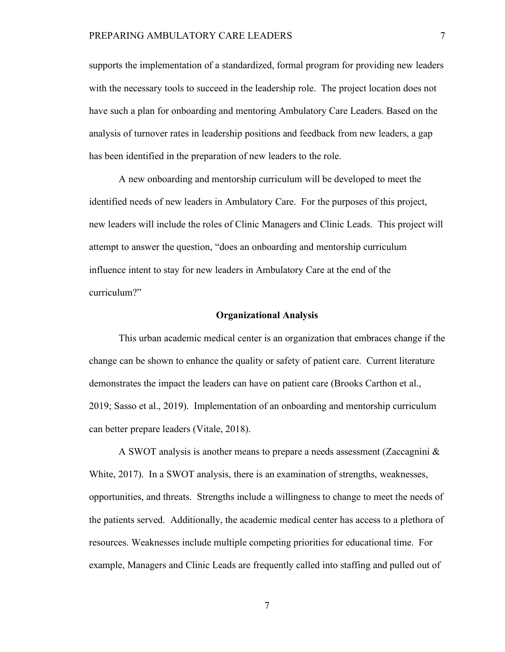supports the implementation of a standardized, formal program for providing new leaders with the necessary tools to succeed in the leadership role. The project location does not have such a plan for onboarding and mentoring Ambulatory Care Leaders. Based on the analysis of turnover rates in leadership positions and feedback from new leaders, a gap has been identified in the preparation of new leaders to the role.

A new onboarding and mentorship curriculum will be developed to meet the identified needs of new leaders in Ambulatory Care. For the purposes of this project, new leaders will include the roles of Clinic Managers and Clinic Leads. This project will attempt to answer the question, "does an onboarding and mentorship curriculum influence intent to stay for new leaders in Ambulatory Care at the end of the curriculum?"

#### **Organizational Analysis**

This urban academic medical center is an organization that embraces change if the change can be shown to enhance the quality or safety of patient care. Current literature demonstrates the impact the leaders can have on patient care (Brooks Carthon et al., 2019; Sasso et al., 2019). Implementation of an onboarding and mentorship curriculum can better prepare leaders (Vitale, 2018).

A SWOT analysis is another means to prepare a needs assessment (Zaccagnini  $\&$ White, 2017). In a SWOT analysis, there is an examination of strengths, weaknesses, opportunities, and threats. Strengths include a willingness to change to meet the needs of the patients served. Additionally, the academic medical center has access to a plethora of resources. Weaknesses include multiple competing priorities for educational time. For example, Managers and Clinic Leads are frequently called into staffing and pulled out of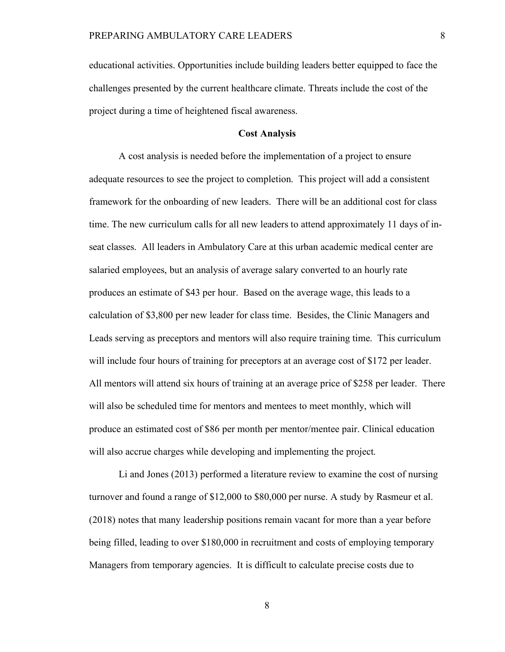educational activities. Opportunities include building leaders better equipped to face the challenges presented by the current healthcare climate. Threats include the cost of the project during a time of heightened fiscal awareness.

#### **Cost Analysis**

A cost analysis is needed before the implementation of a project to ensure adequate resources to see the project to completion. This project will add a consistent framework for the onboarding of new leaders. There will be an additional cost for class time. The new curriculum calls for all new leaders to attend approximately 11 days of inseat classes. All leaders in Ambulatory Care at this urban academic medical center are salaried employees, but an analysis of average salary converted to an hourly rate produces an estimate of \$43 per hour. Based on the average wage, this leads to a calculation of \$3,800 per new leader for class time. Besides, the Clinic Managers and Leads serving as preceptors and mentors will also require training time. This curriculum will include four hours of training for preceptors at an average cost of \$172 per leader. All mentors will attend six hours of training at an average price of \$258 per leader. There will also be scheduled time for mentors and mentees to meet monthly, which will produce an estimated cost of \$86 per month per mentor/mentee pair. Clinical education will also accrue charges while developing and implementing the project.

Li and Jones (2013) performed a literature review to examine the cost of nursing turnover and found a range of \$12,000 to \$80,000 per nurse. A study by Rasmeur et al. (2018) notes that many leadership positions remain vacant for more than a year before being filled, leading to over \$180,000 in recruitment and costs of employing temporary Managers from temporary agencies. It is difficult to calculate precise costs due to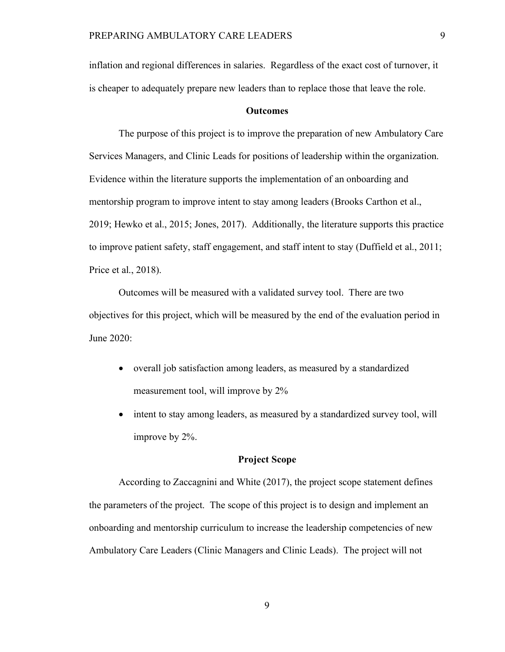inflation and regional differences in salaries. Regardless of the exact cost of turnover, it is cheaper to adequately prepare new leaders than to replace those that leave the role.

#### **Outcomes**

The purpose of this project is to improve the preparation of new Ambulatory Care Services Managers, and Clinic Leads for positions of leadership within the organization. Evidence within the literature supports the implementation of an onboarding and mentorship program to improve intent to stay among leaders (Brooks Carthon et al., 2019; Hewko et al., 2015; Jones, 2017). Additionally, the literature supports this practice to improve patient safety, staff engagement, and staff intent to stay (Duffield et al., 2011; Price et al., 2018).

Outcomes will be measured with a validated survey tool. There are two objectives for this project, which will be measured by the end of the evaluation period in June 2020:

- overall job satisfaction among leaders, as measured by a standardized measurement tool, will improve by 2%
- intent to stay among leaders, as measured by a standardized survey tool, will improve by 2%.

#### **Project Scope**

According to Zaccagnini and White (2017), the project scope statement defines the parameters of the project. The scope of this project is to design and implement an onboarding and mentorship curriculum to increase the leadership competencies of new Ambulatory Care Leaders (Clinic Managers and Clinic Leads). The project will not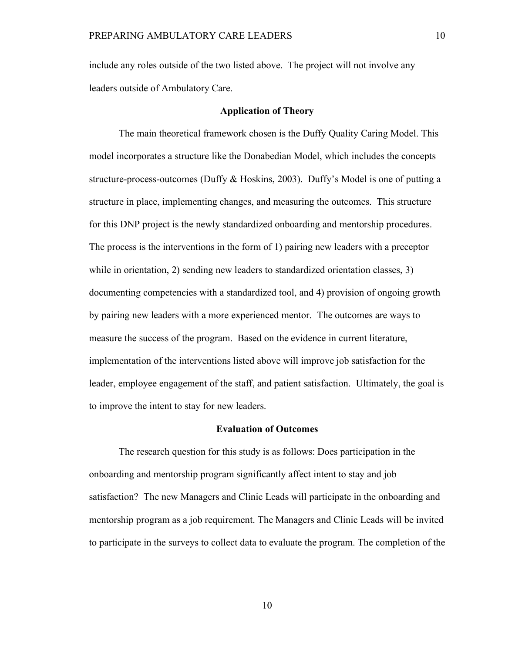include any roles outside of the two listed above. The project will not involve any leaders outside of Ambulatory Care.

#### **Application of Theory**

The main theoretical framework chosen is the Duffy Quality Caring Model. This model incorporates a structure like the Donabedian Model, which includes the concepts structure-process-outcomes (Duffy & Hoskins, 2003). Duffy's Model is one of putting a structure in place, implementing changes, and measuring the outcomes. This structure for this DNP project is the newly standardized onboarding and mentorship procedures. The process is the interventions in the form of 1) pairing new leaders with a preceptor while in orientation, 2) sending new leaders to standardized orientation classes, 3) documenting competencies with a standardized tool, and 4) provision of ongoing growth by pairing new leaders with a more experienced mentor. The outcomes are ways to measure the success of the program. Based on the evidence in current literature, implementation of the interventions listed above will improve job satisfaction for the leader, employee engagement of the staff, and patient satisfaction. Ultimately, the goal is to improve the intent to stay for new leaders.

#### **Evaluation of Outcomes**

The research question for this study is as follows: Does participation in the onboarding and mentorship program significantly affect intent to stay and job satisfaction? The new Managers and Clinic Leads will participate in the onboarding and mentorship program as a job requirement. The Managers and Clinic Leads will be invited to participate in the surveys to collect data to evaluate the program. The completion of the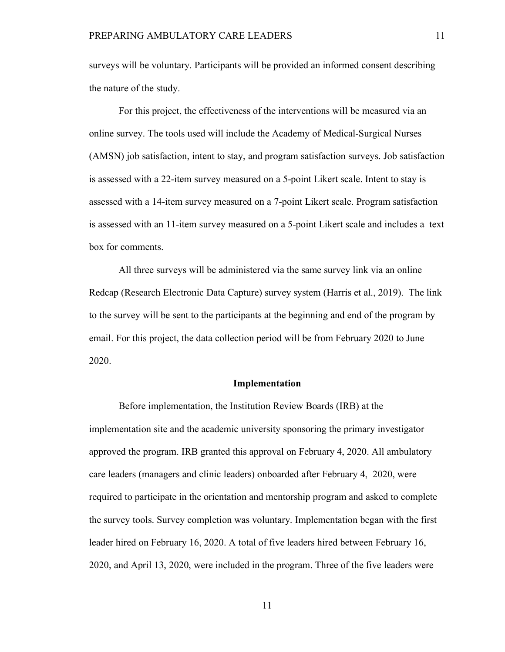surveys will be voluntary. Participants will be provided an informed consent describing the nature of the study.

For this project, the effectiveness of the interventions will be measured via an online survey. The tools used will include the Academy of Medical-Surgical Nurses (AMSN) job satisfaction, intent to stay, and program satisfaction surveys. Job satisfaction is assessed with a 22-item survey measured on a 5-point Likert scale. Intent to stay is assessed with a 14-item survey measured on a 7-point Likert scale. Program satisfaction is assessed with an 11-item survey measured on a 5-point Likert scale and includes a text box for comments.

All three surveys will be administered via the same survey link via an online Redcap (Research Electronic Data Capture) survey system (Harris et al., 2019). The link to the survey will be sent to the participants at the beginning and end of the program by email. For this project, the data collection period will be from February 2020 to June 2020.

#### **Implementation**

Before implementation, the Institution Review Boards (IRB) at the implementation site and the academic university sponsoring the primary investigator approved the program. IRB granted this approval on February 4, 2020. All ambulatory care leaders (managers and clinic leaders) onboarded after February 4, 2020, were required to participate in the orientation and mentorship program and asked to complete the survey tools. Survey completion was voluntary. Implementation began with the first leader hired on February 16, 2020. A total of five leaders hired between February 16, 2020, and April 13, 2020, were included in the program. Three of the five leaders were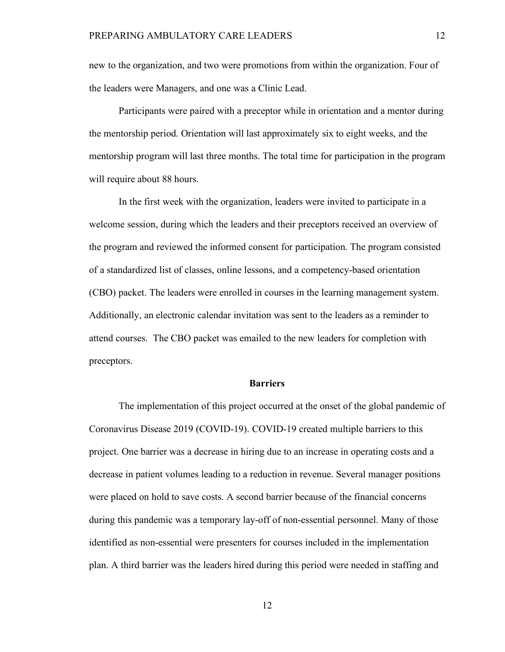new to the organization, and two were promotions from within the organization. Four of the leaders were Managers, and one was a Clinic Lead.

Participants were paired with a preceptor while in orientation and a mentor during the mentorship period. Orientation will last approximately six to eight weeks, and the mentorship program will last three months. The total time for participation in the program will require about 88 hours.

In the first week with the organization, leaders were invited to participate in a welcome session, during which the leaders and their preceptors received an overview of the program and reviewed the informed consent for participation. The program consisted of a standardized list of classes, online lessons, and a competency-based orientation (CBO) packet. The leaders were enrolled in courses in the learning management system. Additionally, an electronic calendar invitation was sent to the leaders as a reminder to attend courses. The CBO packet was emailed to the new leaders for completion with preceptors.

#### **Barriers**

The implementation of this project occurred at the onset of the global pandemic of Coronavirus Disease 2019 (COVID-19). COVID-19 created multiple barriers to this project. One barrier was a decrease in hiring due to an increase in operating costs and a decrease in patient volumes leading to a reduction in revenue. Several manager positions were placed on hold to save costs. A second barrier because of the financial concerns during this pandemic was a temporary lay-off of non-essential personnel. Many of those identified as non-essential were presenters for courses included in the implementation plan. A third barrier was the leaders hired during this period were needed in staffing and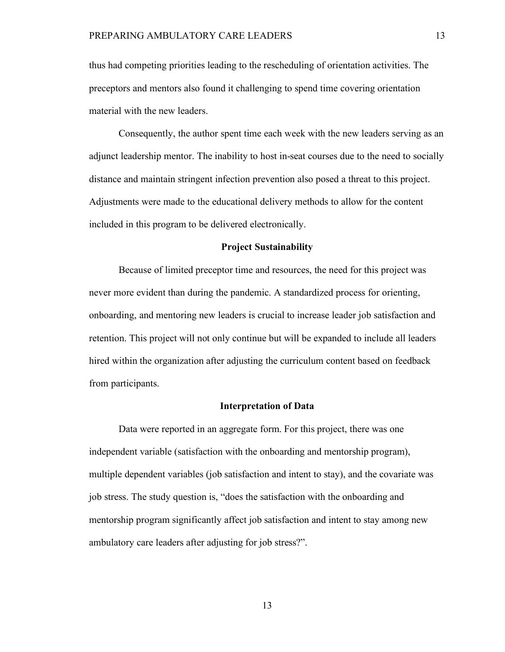thus had competing priorities leading to the rescheduling of orientation activities. The preceptors and mentors also found it challenging to spend time covering orientation material with the new leaders.

Consequently, the author spent time each week with the new leaders serving as an adjunct leadership mentor. The inability to host in-seat courses due to the need to socially distance and maintain stringent infection prevention also posed a threat to this project. Adjustments were made to the educational delivery methods to allow for the content included in this program to be delivered electronically.

#### **Project Sustainability**

Because of limited preceptor time and resources, the need for this project was never more evident than during the pandemic. A standardized process for orienting, onboarding, and mentoring new leaders is crucial to increase leader job satisfaction and retention. This project will not only continue but will be expanded to include all leaders hired within the organization after adjusting the curriculum content based on feedback from participants.

#### **Interpretation of Data**

Data were reported in an aggregate form. For this project, there was one independent variable (satisfaction with the onboarding and mentorship program), multiple dependent variables (job satisfaction and intent to stay), and the covariate was job stress. The study question is, "does the satisfaction with the onboarding and mentorship program significantly affect job satisfaction and intent to stay among new ambulatory care leaders after adjusting for job stress?".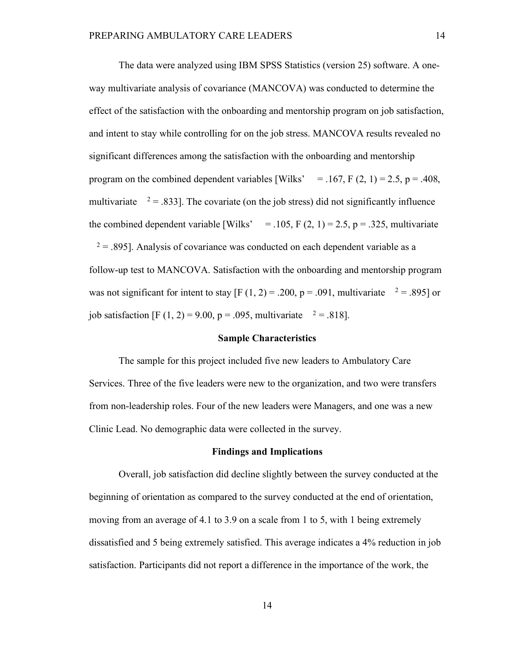The data were analyzed using IBM SPSS Statistics (version 25) software. A oneway multivariate analysis of covariance (MANCOVA) was conducted to determine the effect of the satisfaction with the onboarding and mentorship program on job satisfaction, and intent to stay while controlling for on the job stress. MANCOVA results revealed no significant differences among the satisfaction with the onboarding and mentorship program on the combined dependent variables [Wilks'  $= .167$ , F (2, 1) = 2.5, p = .408, multivariate  $2 = .833$ ]. The covariate (on the job stress) did not significantly influence the combined dependent variable [Wilks' = .105, F  $(2, 1) = 2.5$ , p = .325, multivariate  $2 = 0.895$ ]. Analysis of covariance was conducted on each dependent variable as a follow-up test to MANCOVA. Satisfaction with the onboarding and mentorship program was not significant for intent to stay  $[F(1, 2) = .200, p = .091, \text{ multivariate }^2 = .895]$  or job satisfaction [F (1, 2) = 9.00, p = .095, multivariate  $2 = .818$ ].

#### **Sample Characteristics**

The sample for this project included five new leaders to Ambulatory Care Services. Three of the five leaders were new to the organization, and two were transfers from non-leadership roles. Four of the new leaders were Managers, and one was a new Clinic Lead. No demographic data were collected in the survey.

#### **Findings and Implications**

Overall, job satisfaction did decline slightly between the survey conducted at the beginning of orientation as compared to the survey conducted at the end of orientation, moving from an average of 4.1 to 3.9 on a scale from 1 to 5, with 1 being extremely dissatisfied and 5 being extremely satisfied. This average indicates a 4% reduction in job satisfaction. Participants did not report a difference in the importance of the work, the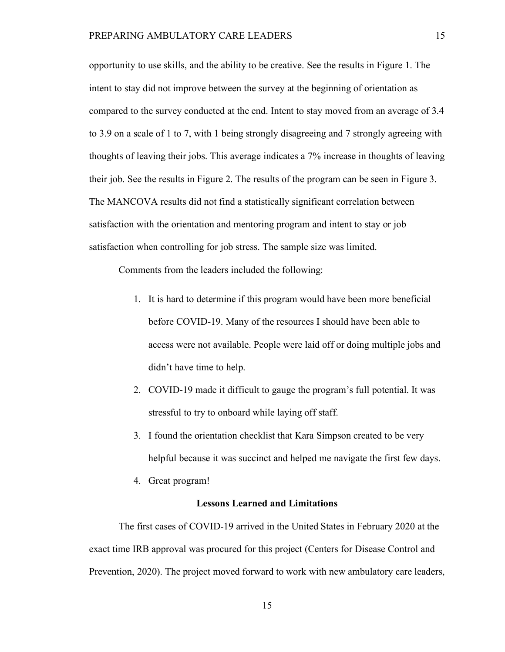opportunity to use skills, and the ability to be creative. See the results in Figure 1. The intent to stay did not improve between the survey at the beginning of orientation as compared to the survey conducted at the end. Intent to stay moved from an average of 3.4 to 3.9 on a scale of 1 to 7, with 1 being strongly disagreeing and 7 strongly agreeing with thoughts of leaving their jobs. This average indicates a 7% increase in thoughts of leaving their job. See the results in Figure 2. The results of the program can be seen in Figure 3. The MANCOVA results did not find a statistically significant correlation between satisfaction with the orientation and mentoring program and intent to stay or job satisfaction when controlling for job stress. The sample size was limited.

Comments from the leaders included the following:

- 1. It is hard to determine if this program would have been more beneficial before COVID-19. Many of the resources I should have been able to access were not available. People were laid off or doing multiple jobs and didn't have time to help.
- 2. COVID-19 made it difficult to gauge the program's full potential. It was stressful to try to onboard while laying off staff.
- 3. I found the orientation checklist that Kara Simpson created to be very helpful because it was succinct and helped me navigate the first few days.
- 4. Great program!

#### **Lessons Learned and Limitations**

The first cases of COVID-19 arrived in the United States in February 2020 at the exact time IRB approval was procured for this project (Centers for Disease Control and Prevention, 2020). The project moved forward to work with new ambulatory care leaders,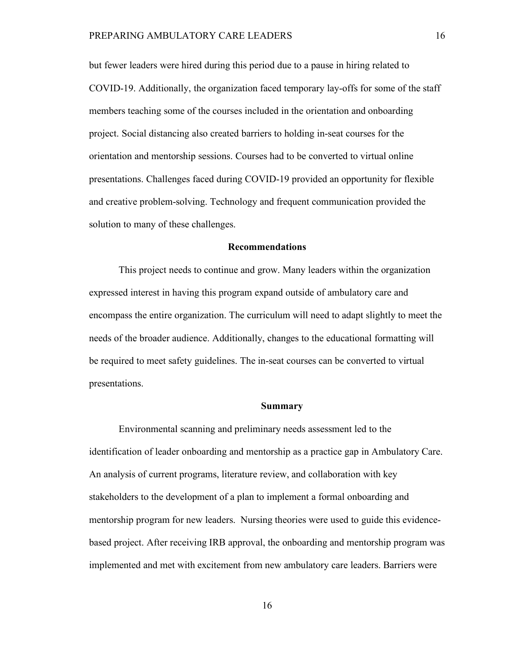but fewer leaders were hired during this period due to a pause in hiring related to COVID-19. Additionally, the organization faced temporary lay-offs for some of the staff members teaching some of the courses included in the orientation and onboarding project. Social distancing also created barriers to holding in-seat courses for the orientation and mentorship sessions. Courses had to be converted to virtual online presentations. Challenges faced during COVID-19 provided an opportunity for flexible and creative problem-solving. Technology and frequent communication provided the solution to many of these challenges.

#### **Recommendations**

This project needs to continue and grow. Many leaders within the organization expressed interest in having this program expand outside of ambulatory care and encompass the entire organization. The curriculum will need to adapt slightly to meet the needs of the broader audience. Additionally, changes to the educational formatting will be required to meet safety guidelines. The in-seat courses can be converted to virtual presentations.

#### **Summary**

Environmental scanning and preliminary needs assessment led to the identification of leader onboarding and mentorship as a practice gap in Ambulatory Care. An analysis of current programs, literature review, and collaboration with key stakeholders to the development of a plan to implement a formal onboarding and mentorship program for new leaders. Nursing theories were used to guide this evidencebased project. After receiving IRB approval, the onboarding and mentorship program was implemented and met with excitement from new ambulatory care leaders. Barriers were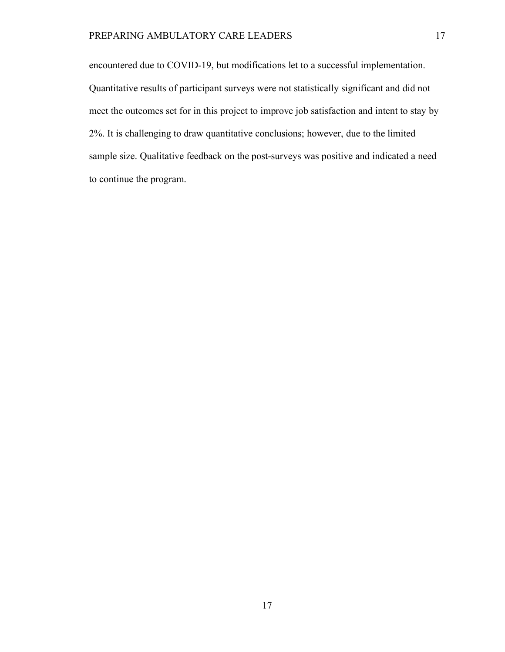encountered due to COVID-19, but modifications let to a successful implementation. Quantitative results of participant surveys were not statistically significant and did not meet the outcomes set for in this project to improve job satisfaction and intent to stay by 2%. It is challenging to draw quantitative conclusions; however, due to the limited sample size. Qualitative feedback on the post-surveys was positive and indicated a need to continue the program.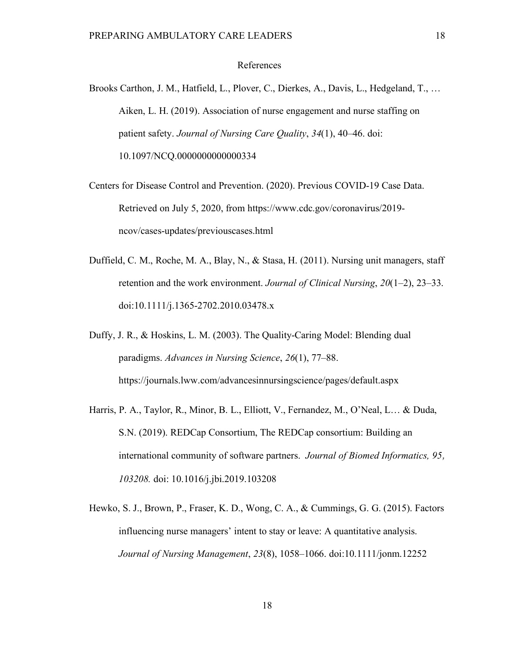#### References

- Brooks Carthon, J. M., Hatfield, L., Plover, C., Dierkes, A., Davis, L., Hedgeland, T., … Aiken, L. H. (2019). Association of nurse engagement and nurse staffing on patient safety. *Journal of Nursing Care Quality*, *34*(1), 40–46. doi: 10.1097/NCQ.0000000000000334
- Centers for Disease Control and Prevention. (2020). Previous COVID-19 Case Data. Retrieved on July 5, 2020, from https://www.cdc.gov/coronavirus/2019 ncov/cases-updates/previouscases.html
- Duffield, C. M., Roche, M. A., Blay, N., & Stasa, H. (2011). Nursing unit managers, staff retention and the work environment. *Journal of Clinical Nursing*, *20*(1–2), 23–33. doi:10.1111/j.1365-2702.2010.03478.x
- Duffy, J. R., & Hoskins, L. M. (2003). The Quality-Caring Model: Blending dual paradigms. *Advances in Nursing Science*, *26*(1), 77–88. https://journals.lww.com/advancesinnursingscience/pages/default.aspx
- Harris, P. A., Taylor, R., Minor, B. L., Elliott, V., Fernandez, M., O'Neal, L… & Duda, S.N. (2019). REDCap Consortium, The REDCap consortium: Building an international community of software partners. *Journal of Biomed Informatics, 95, 103208.* doi: 10.1016/j.jbi.2019.103208
- Hewko, S. J., Brown, P., Fraser, K. D., Wong, C. A., & Cummings, G. G. (2015). Factors influencing nurse managers' intent to stay or leave: A quantitative analysis. *Journal of Nursing Management*, *23*(8), 1058–1066. doi:10.1111/jonm.12252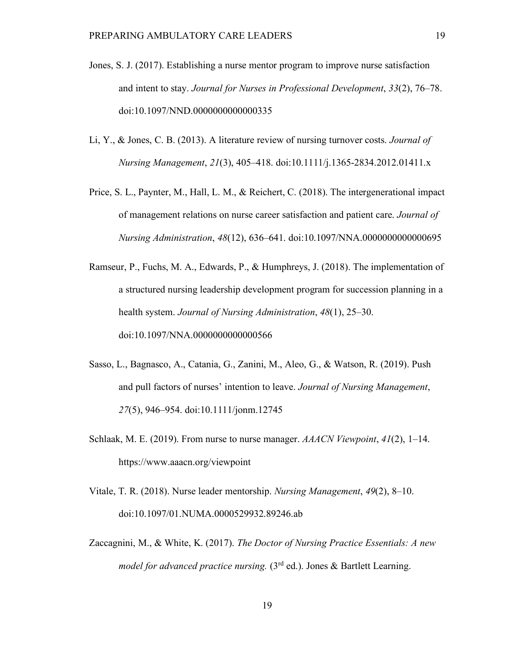- Jones, S. J. (2017). Establishing a nurse mentor program to improve nurse satisfaction and intent to stay. *Journal for Nurses in Professional Development*, *33*(2), 76–78. doi:10.1097/NND.0000000000000335
- Li, Y., & Jones, C. B. (2013). A literature review of nursing turnover costs. *Journal of Nursing Management*, *21*(3), 405–418. doi:10.1111/j.1365-2834.2012.01411.x
- Price, S. L., Paynter, M., Hall, L. M., & Reichert, C. (2018). The intergenerational impact of management relations on nurse career satisfaction and patient care. *Journal of Nursing Administration*, *48*(12), 636–641. doi:10.1097/NNA.0000000000000695
- Ramseur, P., Fuchs, M. A., Edwards, P., & Humphreys, J. (2018). The implementation of a structured nursing leadership development program for succession planning in a health system. *Journal of Nursing Administration*, *48*(1), 25–30. doi:10.1097/NNA.0000000000000566
- Sasso, L., Bagnasco, A., Catania, G., Zanini, M., Aleo, G., & Watson, R. (2019). Push and pull factors of nurses' intention to leave. *Journal of Nursing Management*, *27*(5), 946–954. doi:10.1111/jonm.12745
- Schlaak, M. E. (2019). From nurse to nurse manager. *AAACN Viewpoint*, *41*(2), 1–14. https://www.aaacn.org/viewpoint
- Vitale, T. R. (2018). Nurse leader mentorship. *Nursing Management*, *49*(2), 8–10. doi:10.1097/01.NUMA.0000529932.89246.ab
- Zaccagnini, M., & White, K. (2017). *The Doctor of Nursing Practice Essentials: A new model for advanced practice nursing.* (3<sup>rd</sup> ed.). Jones & Bartlett Learning.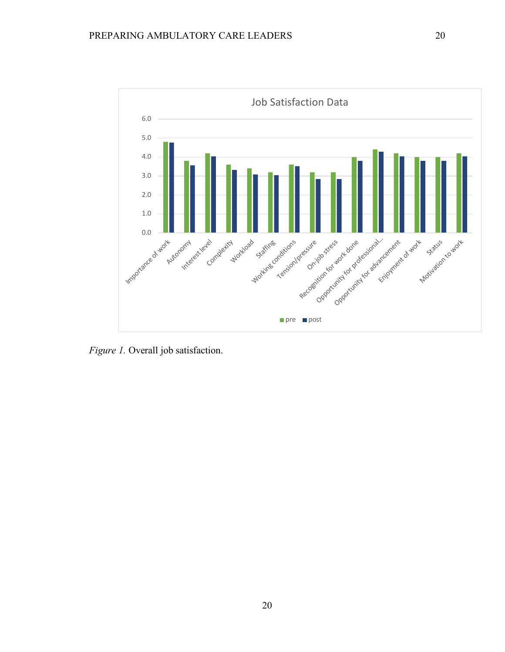

*Figure 1.* Overall job satisfaction.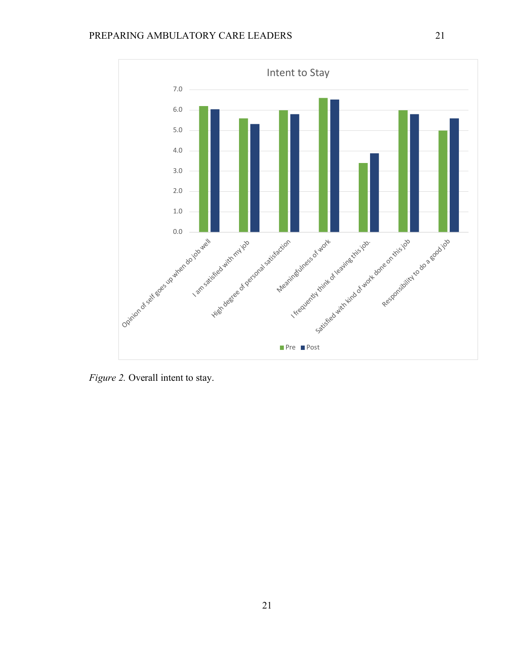

*Figure 2.* Overall intent to stay.